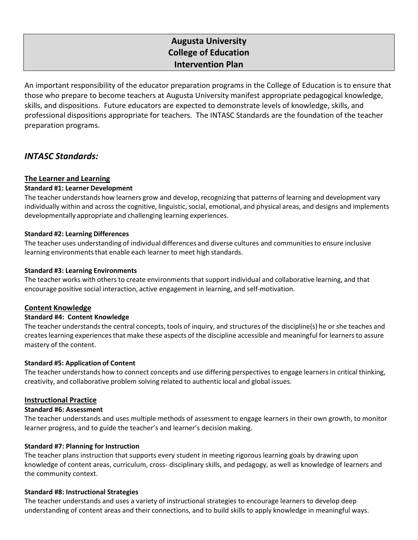# **Augusta University College of Education Intervention Plan**

An important responsibility of the educator preparation programs in the College of Education is to ensure that those who prepare to become teachers at Augusta University manifest appropriate pedagogical knowledge, skills, and dispositions. Future educators are expected to demonstrate levels of knowledge, skills, and professional dispositions appropriate for teachers. The INTASC Standards are the foundation of the teacher preparation programs.

# *INTASC Standards:*

# **The Learner and Learning**

# **Standard #1: Learner Development**

The teacher understands how learners grow and develop, recognizing that patterns of learning and development vary individually within and across the cognitive, linguistic, social, emotional, and physical areas, and designs and implements developmentally appropriate and challenging learning experiences.

# **Standard #2: Learning Differences**

The teacher uses understanding of individual differences and diverse cultures and communities to ensure inclusive learning environments that enable each learner to meet high standards.

# **Standard #3: Learning Environments**

The teacher works with others to create environments that support individual and collaborative learning, and that encourage positive social interaction, active engagement in learning, and self-motivation.

# **Content Knowledge**

# **Standard #4: Content Knowledge**

The teacher understands the central concepts, tools of inquiry, and structures of the discipline(s) he or she teaches and creates learning experiences that make these aspects of the discipline accessible and meaningful for learners to assure mastery of the content.

# **Standard #5: Application of Content**

The teacher understands how to connect concepts and use differing perspectives to engage learners in critical thinking, creativity, and collaborative problem solving related to authentic local and global issues.

# **Instructional Practice**

# **Standard #6: Assessment**

The teacher understands and uses multiple methods of assessment to engage learners in their own growth, to monitor learner progress, and to guide the teacher's and learner's decision making.

# **Standard #7: Planning for Instruction**

The teacher plans instruction that supports every student in meeting rigorous learning goals by drawing upon knowledge of content areas, curriculum, cross- disciplinary skills, and pedagogy, as well as knowledge of learners and the community context.

# **Standard #8: Instructional Strategies**

The teacher understands and uses a variety of instructional strategies to encourage learners to develop deep understanding of content areas and their connections, and to build skills to apply knowledge in meaningful ways.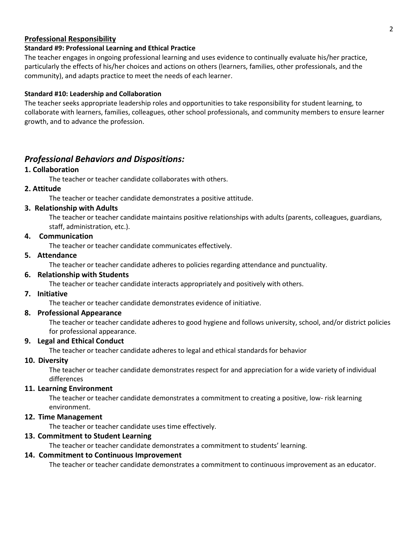# **Professional Responsibility**

# **Standard #9: Professional Learning and Ethical Practice**

The teacher engages in ongoing professional learning and uses evidence to continually evaluate his/her practice, particularly the effects of his/her choices and actions on others (learners, families, other professionals, and the community), and adapts practice to meet the needs of each learner.

# **Standard #10: Leadership and Collaboration**

The teacher seeks appropriate leadership roles and opportunities to take responsibility for student learning, to collaborate with learners, families, colleagues, other school professionals, and community members to ensure learner growth, and to advance the profession.

# *Professional Behaviors and Dispositions:*

# **1. Collaboration**

The teacher or teacher candidate collaborates with others.

# **2. Attitude**

The teacher or teacher candidate demonstrates a positive attitude.

# **3. Relationship with Adults**

The teacher or teacher candidate maintains positive relationships with adults (parents, colleagues, guardians, staff, administration, etc.).

# **4. Communication**

The teacher or teacher candidate communicates effectively.

# **5. Attendance**

The teacher or teacher candidate adheres to policies regarding attendance and punctuality.

# **6. Relationship with Students**

The teacher or teacher candidate interacts appropriately and positively with others.

# **7. Initiative**

The teacher or teacher candidate demonstrates evidence of initiative.

# **8. Professional Appearance**

The teacher or teacher candidate adheres to good hygiene and follows university, school, and/or district policies for professional appearance.

# **9. Legal and Ethical Conduct**

The teacher or teacher candidate adheres to legal and ethical standards for behavior

# **10. Diversity**

The teacher or teacher candidate demonstrates respect for and appreciation for a wide variety of individual differences

# **11. Learning Environment**

The teacher or teacher candidate demonstrates a commitment to creating a positive, low- risk learning environment.

# **12. Time Management**

The teacher or teacher candidate uses time effectively.

# **13. Commitment to Student Learning**

The teacher or teacher candidate demonstrates a commitment to students' learning.

# **14. Commitment to Continuous Improvement**

The teacher or teacher candidate demonstrates a commitment to continuous improvement as an educator.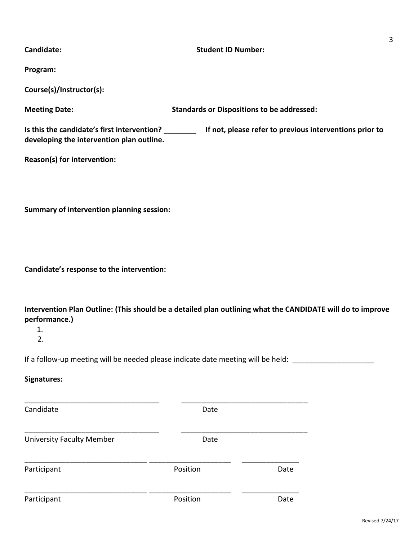| Candidate:                                                                                                                                                  | <b>Student ID Number:</b>                         |      | $\mathbf{3}$ |
|-------------------------------------------------------------------------------------------------------------------------------------------------------------|---------------------------------------------------|------|--------------|
| Program:                                                                                                                                                    |                                                   |      |              |
| Course(s)/Instructor(s):                                                                                                                                    |                                                   |      |              |
| <b>Meeting Date:</b>                                                                                                                                        | <b>Standards or Dispositions to be addressed:</b> |      |              |
| Is this the candidate's first intervention? __________ If not, please refer to previous interventions prior to<br>developing the intervention plan outline. |                                                   |      |              |
| Reason(s) for intervention:                                                                                                                                 |                                                   |      |              |
|                                                                                                                                                             |                                                   |      |              |
| Summary of intervention planning session:                                                                                                                   |                                                   |      |              |
|                                                                                                                                                             |                                                   |      |              |
|                                                                                                                                                             |                                                   |      |              |
| Candidate's response to the intervention:                                                                                                                   |                                                   |      |              |
| Intervention Plan Outline: (This should be a detailed plan outlining what the CANDIDATE will do to improve<br>performance.)                                 |                                                   |      |              |
| 1.<br>2.                                                                                                                                                    |                                                   |      |              |
| If a follow-up meeting will be needed please indicate date meeting will be held: _____                                                                      |                                                   |      |              |
| Signatures:                                                                                                                                                 |                                                   |      |              |
| Candidate                                                                                                                                                   | Date                                              |      |              |
| <b>University Faculty Member</b>                                                                                                                            | Date                                              |      |              |
| Participant                                                                                                                                                 | Position                                          | Date |              |
| Participant                                                                                                                                                 | Position                                          | Date |              |